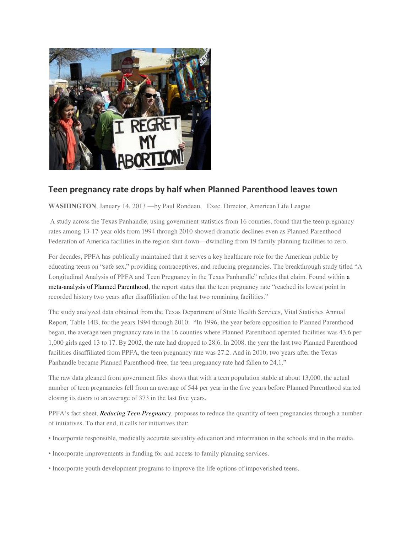

## **Teen pregnancy rate drops by half when Planned Parenthood leaves town**

**WASHINGTON**, January 14, 2013 —by Paul Rondeau, Exec. Director, American Life League

 A study across the Texas Panhandle, using government statistics from 16 counties, found that the teen pregnancy rates among 13-17-year olds from 1994 through 2010 showed dramatic declines even as Planned Parenthood Federation of America facilities in the region shut down—dwindling from 19 family planning facilities to zero.

For decades, PPFA has publically maintained that it serves a key healthcare role for the American public by educating teens on "safe sex," providing contraceptives, and reducing pregnancies. The breakthrough study titled "A Longitudinal Analysis of PPFA and Teen Pregnancy in the Texas Panhandle" refutes that claim. Found within [a](http://www.stopp.org/PPFAReports/PPFA_2013_Report.pdf)  [meta-analysis of Planned Parenthood,](http://www.stopp.org/PPFAReports/PPFA_2013_Report.pdf) the report states that the teen pregnancy rate "reached its lowest point in recorded history two years after disaffiliation of the last two remaining facilities."

The study analyzed data obtained from the Texas Department of State Health Services, Vital Statistics Annual Report, Table 14B, for the years 1994 through 2010: "In 1996, the year before opposition to Planned Parenthood began, the average teen pregnancy rate in the 16 counties where Planned Parenthood operated facilities was 43.6 per 1,000 girls aged 13 to 17. By 2002, the rate had dropped to 28.6. In 2008, the year the last two Planned Parenthood facilities disaffiliated from PPFA, the teen pregnancy rate was 27.2. And in 2010, two years after the Texas Panhandle became Planned Parenthood-free, the teen pregnancy rate had fallen to 24.1."

The raw data gleaned from government files shows that with a teen population stable at about 13,000, the actual number of teen pregnancies fell from an average of 544 per year in the five years before Planned Parenthood started closing its doors to an average of 373 in the last five years.

PPFA's fact sheet, *[Reducing Teen Pregnancy](http://www.plannedparenthood.org/files/PPFA/reducing_teenage_pregnancy.pdf)*, proposes to reduce the quantity of teen pregnancies through a number of initiatives. To that end, it calls for initiatives that:

- Incorporate responsible, medically accurate sexuality education and information in the schools and in the media.
- Incorporate improvements in funding for and access to family planning services.
- Incorporate youth development programs to improve the life options of impoverished teens.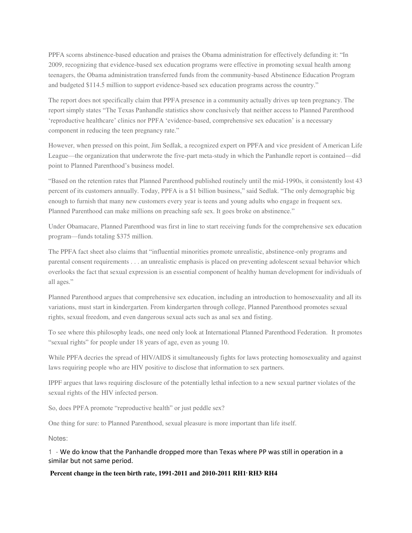PPFA scorns abstinence-based education and praises the Obama administration for effectively defunding it: "In 2009, recognizing that evidence-based sex education programs were effective in promoting sexual health among teenagers, the Obama administration transferred funds from the community-based Abstinence Education Program and budgeted \$114.5 million to support evidence-based sex education programs across the country."

The report does not specifically claim that PPFA presence in a community actually drives up teen pregnancy. The report simply states "The Texas Panhandle statistics show conclusively that neither access to Planned Parenthood 'reproductive healthcare' clinics nor PPFA 'evidence-based, comprehensive sex education' is a necessary component in reducing the teen pregnancy rate."

However, when pressed on this point, Jim Sedlak, a recognized expert on PPFA and vice president of American Life League—the organization that underwrote the five-part meta-study in which the Panhandle report is contained—did point to Planned Parenthood's business model.

"Based on the retention rates that Planned Parenthood published routinely until the mid-1990s, it consistently lost 43 percent of its customers annually. Today, PPFA is a \$1 billion business," said Sedlak. "The only demographic big enough to furnish that many new customers every year is teens and young adults who engage in frequent sex. Planned Parenthood can make millions on preaching safe sex. It goes broke on abstinence."

Under Obamacare, Planned Parenthood was first in line to start receiving funds for the comprehensive sex education program—funds totaling \$375 million.

The PPFA fact sheet also claims that "influential minorities promote unrealistic, abstinence-only programs and parental consent requirements . . . an unrealistic emphasis is placed on preventing adolescent sexual behavior which overlooks the fact that sexual expression is an essential component of healthy human development for individuals of all ages."

Planned Parenthood argues that comprehensive sex education, including an introduction to homosexuality and all its variations, must start in kindergarten. From kindergarten through college, Planned Parenthood promotes sexual rights, sexual freedom, and even dangerous sexual acts such as anal sex and fisting.

To see where this philosophy leads, one need only look at International Planned Parenthood Federation. It promotes "sexual rights" for people under 18 years of age, even as young 10.

While PPFA decries the spread of HIV/AIDS it simultaneously fights for laws protecting homosexuality and against laws requiring people who are HIV positive to disclose that information to sex partners.

IPPF argues that laws requiring disclosure of the potentially lethal infection to a new sexual partner violates of the sexual rights of the HIV infected person.

So, does PPFA promote "reproductive health" or just peddle sex?

One thing for sure: to Planned Parenthood, sexual pleasure is more important than life itself.

Notes:

1 - We do know that the Panhandle dropped more than Texas where PP was still in operation in a similar but not same period.

## **Percent change in the teen birth rate, 1991-2011 and 2010-2011 [RH1](http://www.hhs.gov/ash/oah/adolescent-health-topics/reproductive-health/states/tx.html#footnote-1), [RH3](http://www.hhs.gov/ash/oah/adolescent-health-topics/reproductive-health/states/tx.html#footnote-3), [RH4](http://www.hhs.gov/ash/oah/adolescent-health-topics/reproductive-health/states/tx.html#footnote-4)**